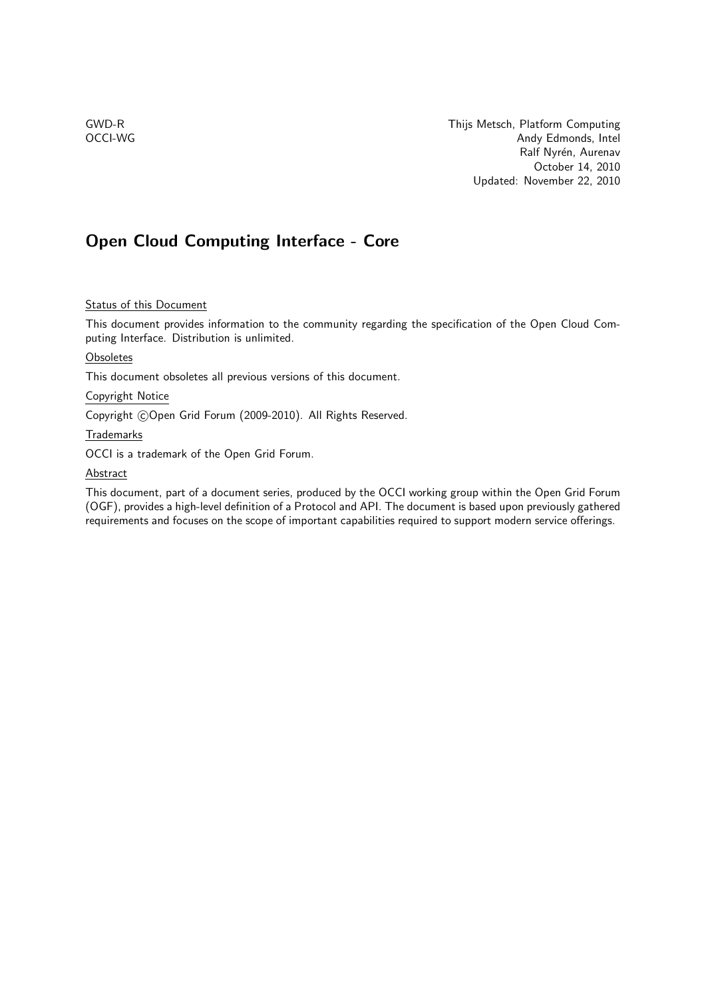GWD-R **GWD-R** Thijs Metsch, Platform Computing OCCI-WG Andy Edmonds, Intel Ralf Nyrén, Aurenav October 14, 2010 Updated: November 22, 2010

## Open Cloud Computing Interface - Core

## **Status of this Document**

This document provides information to the community regarding the specification of the Open Cloud Computing Interface. Distribution is unlimited.

### **Obsoletes**

This document obsoletes all previous versions of this document.

### Copyright Notice

Copyright ©Open Grid Forum (2009-2010). All Rights Reserved.

### Trademarks

OCCI is a trademark of the Open Grid Forum.

### **Abstract**

This document, part of a document series, produced by the OCCI working group within the Open Grid Forum (OGF), provides a high-level definition of a Protocol and API. The document is based upon previously gathered requirements and focuses on the scope of important capabilities required to support modern service offerings.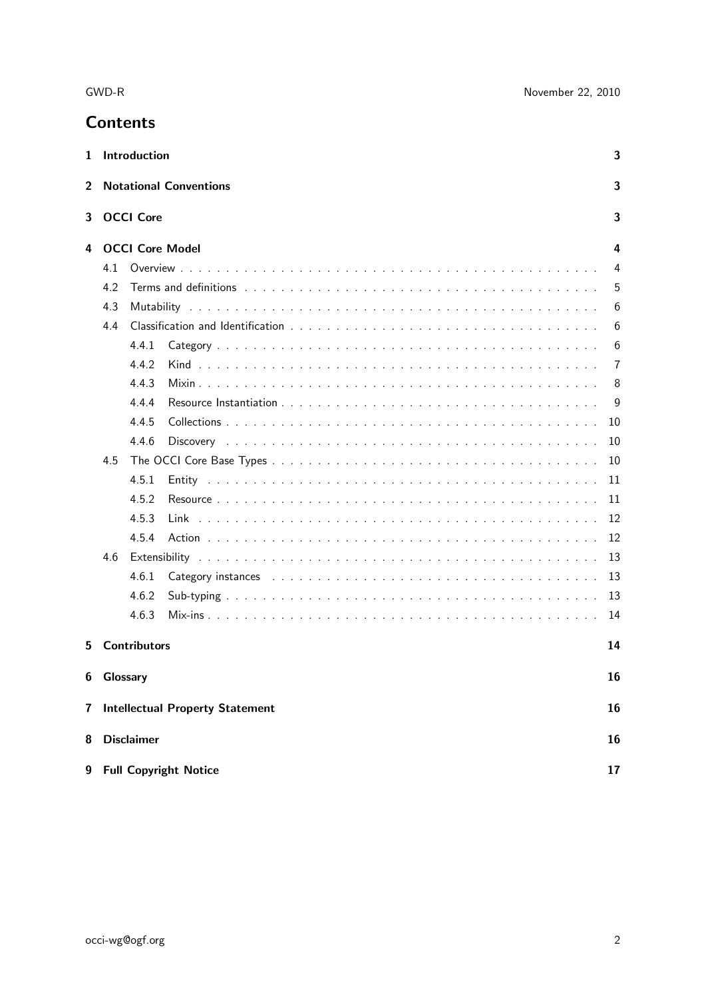| 1  |          | Introduction           |                                                                                                                                                                                                                               | 3  |  |  |  |
|----|----------|------------------------|-------------------------------------------------------------------------------------------------------------------------------------------------------------------------------------------------------------------------------|----|--|--|--|
| 2  |          |                        | <b>Notational Conventions</b>                                                                                                                                                                                                 | 3  |  |  |  |
| 3  |          | <b>OCCI Core</b><br>3  |                                                                                                                                                                                                                               |    |  |  |  |
| 4  |          | <b>OCCI Core Model</b> |                                                                                                                                                                                                                               | 4  |  |  |  |
|    | 4.1      |                        |                                                                                                                                                                                                                               | 4  |  |  |  |
|    | 4.2      |                        | Terms and definitions because the contract of the contract of the contract of the contract of the contract of the contract of the contract of the contract of the contract of the contract of the contract of the contract of | 5  |  |  |  |
|    | 4.3      |                        |                                                                                                                                                                                                                               | 6  |  |  |  |
|    | 4.4<br>6 |                        |                                                                                                                                                                                                                               |    |  |  |  |
|    |          | 4.4.1                  |                                                                                                                                                                                                                               | 6  |  |  |  |
|    |          | 4.4.2                  |                                                                                                                                                                                                                               | 7  |  |  |  |
|    |          | 4.4.3                  |                                                                                                                                                                                                                               | 8  |  |  |  |
|    |          | 4.4.4                  |                                                                                                                                                                                                                               | 9  |  |  |  |
|    |          | 4.4.5                  |                                                                                                                                                                                                                               | 10 |  |  |  |
|    |          | 4.4.6                  |                                                                                                                                                                                                                               | 10 |  |  |  |
|    | 4.5      |                        |                                                                                                                                                                                                                               | 10 |  |  |  |
|    |          | 4.5.1                  |                                                                                                                                                                                                                               | 11 |  |  |  |
|    |          | 4.5.2                  |                                                                                                                                                                                                                               | 11 |  |  |  |
|    |          | 4.5.3                  |                                                                                                                                                                                                                               | 12 |  |  |  |
|    |          | 4.5.4                  |                                                                                                                                                                                                                               | 12 |  |  |  |
|    | 4.6      |                        |                                                                                                                                                                                                                               | 13 |  |  |  |
|    |          | 4.6.1                  |                                                                                                                                                                                                                               | 13 |  |  |  |
|    |          | 4.6.2                  |                                                                                                                                                                                                                               | 13 |  |  |  |
|    |          | 4.6.3                  |                                                                                                                                                                                                                               | 14 |  |  |  |
| 5. |          | <b>Contributors</b>    |                                                                                                                                                                                                                               | 14 |  |  |  |
| 6  | Glossary |                        |                                                                                                                                                                                                                               | 16 |  |  |  |
|    |          |                        |                                                                                                                                                                                                                               |    |  |  |  |
| 7  |          |                        | <b>Intellectual Property Statement</b>                                                                                                                                                                                        | 16 |  |  |  |
| 8  |          | <b>Disclaimer</b>      |                                                                                                                                                                                                                               | 16 |  |  |  |
| 9  |          |                        | <b>Full Copyright Notice</b>                                                                                                                                                                                                  | 17 |  |  |  |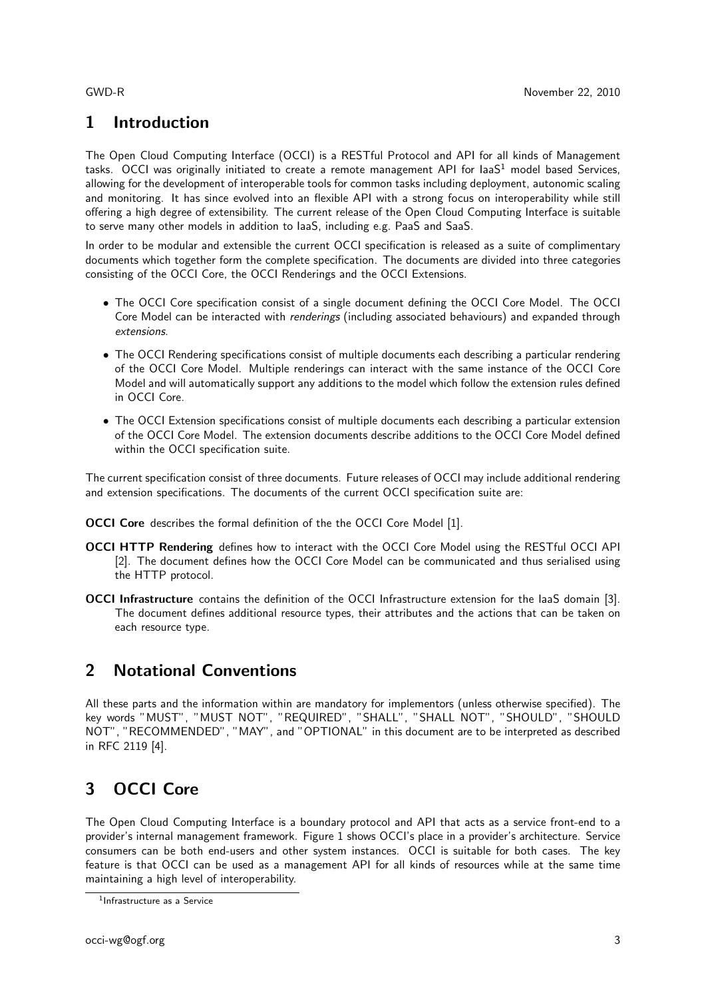# 1 Introduction

The Open Cloud Computing Interface (OCCI) is a RESTful Protocol and API for all kinds of Management tasks. OCCI was originally initiated to create a remote management API for laa $S<sup>1</sup>$  model based Services, allowing for the development of interoperable tools for common tasks including deployment, autonomic scaling and monitoring. It has since evolved into an flexible API with a strong focus on interoperability while still offering a high degree of extensibility. The current release of the Open Cloud Computing Interface is suitable to serve many other models in addition to IaaS, including e.g. PaaS and SaaS.

In order to be modular and extensible the current OCCI specification is released as a suite of complimentary documents which together form the complete specification. The documents are divided into three categories consisting of the OCCI Core, the OCCI Renderings and the OCCI Extensions.

- The OCCI Core specification consist of a single document defining the OCCI Core Model. The OCCI Core Model can be interacted with renderings (including associated behaviours) and expanded through extensions.
- The OCCI Rendering specifications consist of multiple documents each describing a particular rendering of the OCCI Core Model. Multiple renderings can interact with the same instance of the OCCI Core Model and will automatically support any additions to the model which follow the extension rules defined in OCCI Core.
- The OCCI Extension specifications consist of multiple documents each describing a particular extension of the OCCI Core Model. The extension documents describe additions to the OCCI Core Model defined within the OCCI specification suite.

The current specification consist of three documents. Future releases of OCCI may include additional rendering and extension specifications. The documents of the current OCCI specification suite are:

**OCCI Core** describes the formal definition of the the OCCI Core Model [1].

- OCCI HTTP Rendering defines how to interact with the OCCI Core Model using the RESTful OCCI API [2]. The document defines how the OCCI Core Model can be communicated and thus serialised using the HTTP protocol.
- OCCI Infrastructure contains the definition of the OCCI Infrastructure extension for the IaaS domain [3]. The document defines additional resource types, their attributes and the actions that can be taken on each resource type.

# 2 Notational Conventions

All these parts and the information within are mandatory for implementors (unless otherwise specified). The key words "MUST", "MUST NOT", "REQUIRED", "SHALL", "SHALL NOT", "SHOULD", "SHOULD NOT", "RECOMMENDED", "MAY", and "OPTIONAL" in this document are to be interpreted as described in RFC 2119 [4].

# 3 OCCI Core

The Open Cloud Computing Interface is a boundary protocol and API that acts as a service front-end to a provider's internal management framework. Figure 1 shows OCCI's place in a provider's architecture. Service consumers can be both end-users and other system instances. OCCI is suitable for both cases. The key feature is that OCCI can be used as a management API for all kinds of resources while at the same time maintaining a high level of interoperability.

<sup>1</sup> Infrastructure as a Service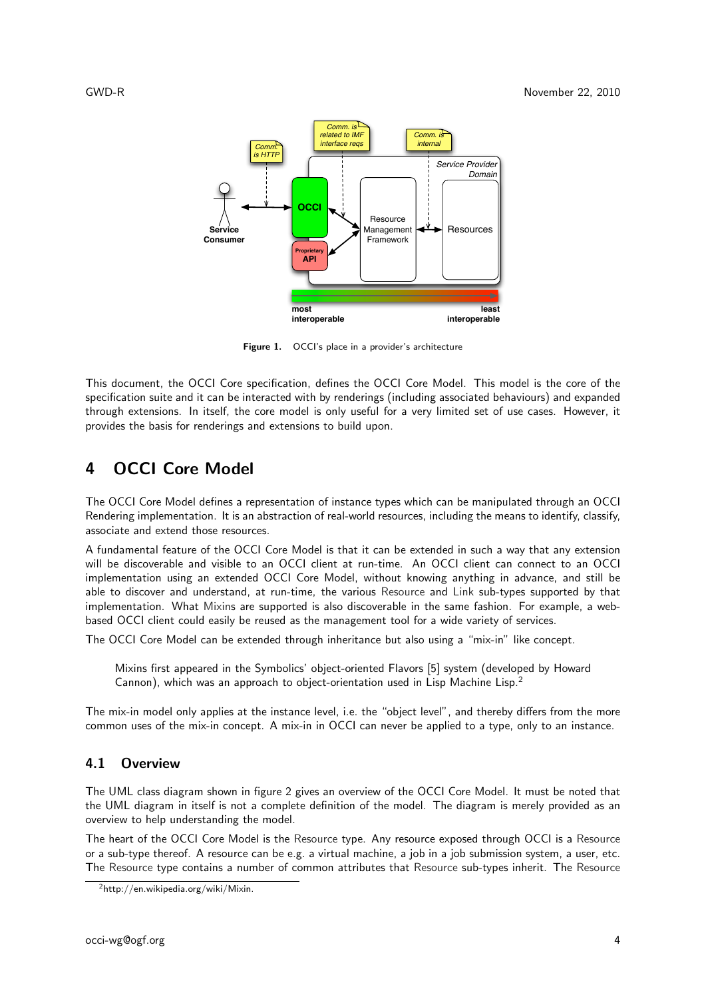

Figure 1. OCCI's place in a provider's architecture

This document, the OCCI Core specification, defines the OCCI Core Model. This model is the core of the specification suite and it can be interacted with by renderings (including associated behaviours) and expanded through extensions. In itself, the core model is only useful for a very limited set of use cases. However, it provides the basis for renderings and extensions to build upon.

## 4 OCCI Core Model

The OCCI Core Model defines a representation of instance types which can be manipulated through an OCCI Rendering implementation. It is an abstraction of real-world resources, including the means to identify, classify, associate and extend those resources.

A fundamental feature of the OCCI Core Model is that it can be extended in such a way that any extension will be discoverable and visible to an OCCI client at run-time. An OCCI client can connect to an OCCI implementation using an extended OCCI Core Model, without knowing anything in advance, and still be able to discover and understand, at run-time, the various Resource and Link sub-types supported by that implementation. What Mixins are supported is also discoverable in the same fashion. For example, a webbased OCCI client could easily be reused as the management tool for a wide variety of services.

The OCCI Core Model can be extended through inheritance but also using a "mix-in" like concept.

Mixins first appeared in the Symbolics' object-oriented Flavors [5] system (developed by Howard Cannon), which was an approach to object-orientation used in Lisp Machine Lisp.<sup>2</sup>

The mix-in model only applies at the instance level, i.e. the "object level", and thereby differs from the more common uses of the mix-in concept. A mix-in in OCCI can never be applied to a type, only to an instance.

### 4.1 Overview

The UML class diagram shown in figure 2 gives an overview of the OCCI Core Model. It must be noted that the UML diagram in itself is not a complete definition of the model. The diagram is merely provided as an overview to help understanding the model.

The heart of the OCCI Core Model is the Resource type. Any resource exposed through OCCI is a Resource or a sub-type thereof. A resource can be e.g. a virtual machine, a job in a job submission system, a user, etc. The Resource type contains a number of common attributes that Resource sub-types inherit. The Resource

<sup>2</sup>http://en.wikipedia.org/wiki/Mixin.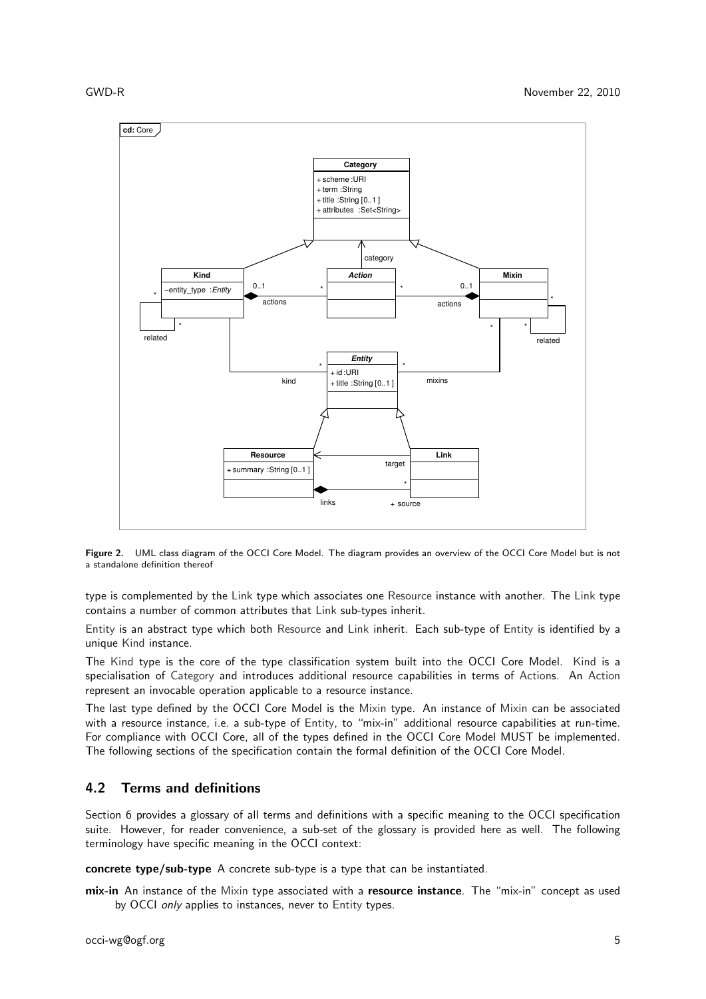

Figure 2. UML class diagram of the OCCI Core Model. The diagram provides an overview of the OCCI Core Model but is not a standalone definition thereof

type is complemented by the Link type which associates one Resource instance with another. The Link type contains a number of common attributes that Link sub-types inherit.

Entity is an abstract type which both Resource and Link inherit. Each sub-type of Entity is identified by a unique Kind instance.

The Kind type is the core of the type classification system built into the OCCI Core Model. Kind is a specialisation of Category and introduces additional resource capabilities in terms of Actions. An Action represent an invocable operation applicable to a resource instance.

The last type defined by the OCCI Core Model is the Mixin type. An instance of Mixin can be associated with a resource instance, i.e. a sub-type of Entity, to "mix-in" additional resource capabilities at run-time. For compliance with OCCI Core, all of the types defined in the OCCI Core Model MUST be implemented. The following sections of the specification contain the formal definition of the OCCI Core Model.

## 4.2 Terms and definitions

Section 6 provides a glossary of all terms and definitions with a specific meaning to the OCCI specification suite. However, for reader convenience, a sub-set of the glossary is provided here as well. The following terminology have specific meaning in the OCCI context:

concrete type/sub-type A concrete sub-type is a type that can be instantiated.

mix-in An instance of the Mixin type associated with a resource instance. The "mix-in" concept as used by OCCI only applies to instances, never to Entity types.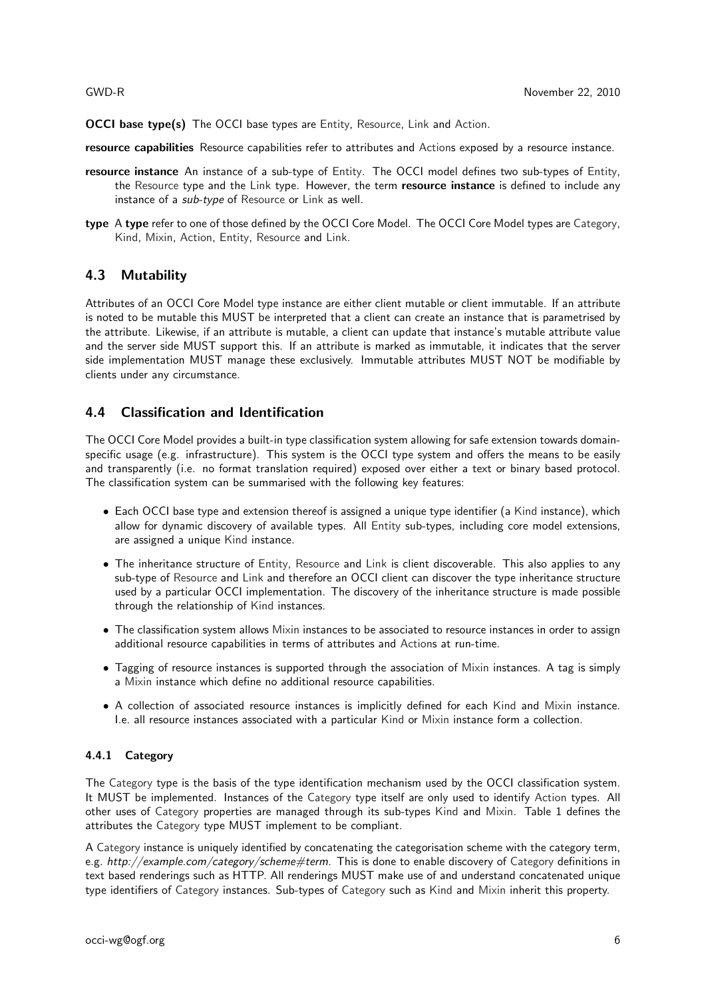OCCI base type(s) The OCCI base types are Entity, Resource, Link and Action.

resource capabilities Resource capabilities refer to attributes and Actions exposed by a resource instance.

- resource instance An instance of a sub-type of Entity. The OCCI model defines two sub-types of Entity, the Resource type and the Link type. However, the term resource instance is defined to include any instance of a sub-type of Resource or Link as well.
- type A type refer to one of those defined by the OCCI Core Model. The OCCI Core Model types are Category, Kind, Mixin, Action, Entity, Resource and Link.

## 4.3 Mutability

Attributes of an OCCI Core Model type instance are either client mutable or client immutable. If an attribute is noted to be mutable this MUST be interpreted that a client can create an instance that is parametrised by the attribute. Likewise, if an attribute is mutable, a client can update that instance's mutable attribute value and the server side MUST support this. If an attribute is marked as immutable, it indicates that the server side implementation MUST manage these exclusively. Immutable attributes MUST NOT be modifiable by clients under any circumstance.

## 4.4 Classification and Identification

The OCCI Core Model provides a built-in type classification system allowing for safe extension towards domainspecific usage (e.g. infrastructure). This system is the OCCI type system and offers the means to be easily and transparently (i.e. no format translation required) exposed over either a text or binary based protocol. The classification system can be summarised with the following key features:

- Each OCCI base type and extension thereof is assigned a unique type identifier (a Kind instance), which allow for dynamic discovery of available types. All Entity sub-types, including core model extensions, are assigned a unique Kind instance.
- The inheritance structure of Entity, Resource and Link is client discoverable. This also applies to any sub-type of Resource and Link and therefore an OCCI client can discover the type inheritance structure used by a particular OCCI implementation. The discovery of the inheritance structure is made possible through the relationship of Kind instances.
- The classification system allows Mixin instances to be associated to resource instances in order to assign additional resource capabilities in terms of attributes and Actions at run-time.
- Tagging of resource instances is supported through the association of Mixin instances. A tag is simply a Mixin instance which define no additional resource capabilities.
- A collection of associated resource instances is implicitly defined for each Kind and Mixin instance. I.e. all resource instances associated with a particular Kind or Mixin instance form a collection.

#### 4.4.1 Category

The Category type is the basis of the type identification mechanism used by the OCCI classification system. It MUST be implemented. Instances of the Category type itself are only used to identify Action types. All other uses of Category properties are managed through its sub-types Kind and Mixin. Table 1 defines the attributes the Category type MUST implement to be compliant.

A Category instance is uniquely identified by concatenating the categorisation scheme with the category term, e.g. http://example.com/category/scheme#term. This is done to enable discovery of Category definitions in text based renderings such as HTTP. All renderings MUST make use of and understand concatenated unique type identifiers of Category instances. Sub-types of Category such as Kind and Mixin inherit this property.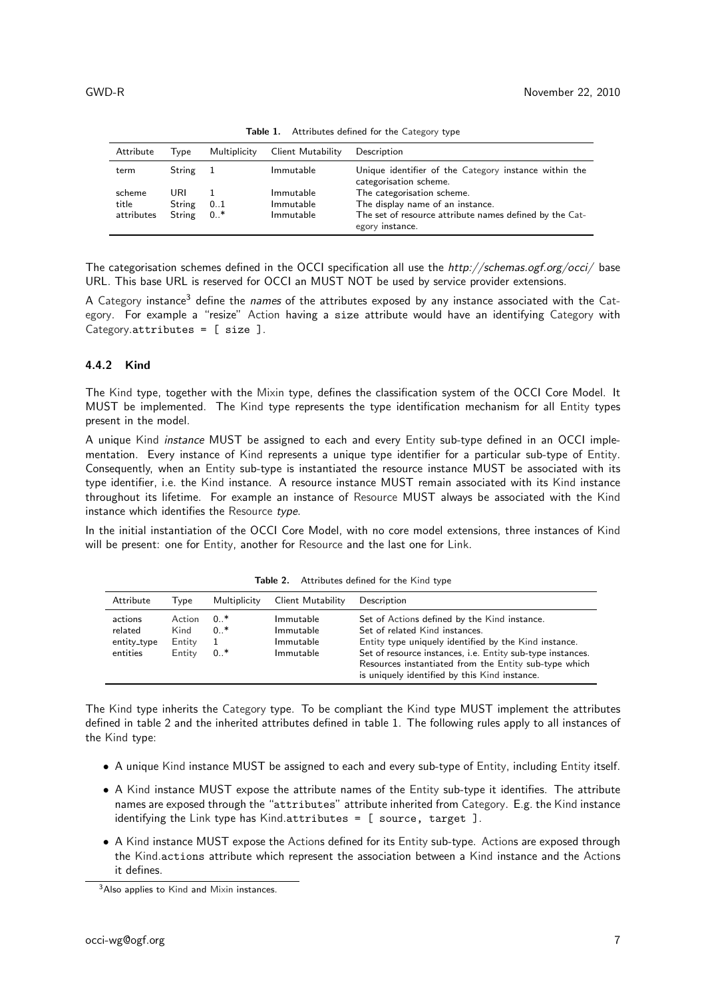| Attribute  | Tvpe   | Multiplicity | Client Mutability | Description                                                                     |
|------------|--------|--------------|-------------------|---------------------------------------------------------------------------------|
| term       | String | $\mathbf{1}$ | Immutable         | Unique identifier of the Category instance within the<br>categorisation scheme. |
| scheme     | URI    |              | Immutable         | The categorisation scheme.                                                      |
| title      | String | 01           | Immutable         | The display name of an instance.                                                |
| attributes | String | $0.7*$       | Immutable         | The set of resource attribute names defined by the Cat-<br>egory instance.      |

Table 1. Attributes defined for the Category type

The categorisation schemes defined in the OCCI specification all use the http://schemas.ogf.org/occi/ base URL. This base URL is reserved for OCCI an MUST NOT be used by service provider extensions.

A Category instance<sup>3</sup> define the names of the attributes exposed by any instance associated with the Category. For example a "resize" Action having a size attribute would have an identifying Category with Category.attributes = [ size ].

#### 4.4.2 Kind

The Kind type, together with the Mixin type, defines the classification system of the OCCI Core Model. It MUST be implemented. The Kind type represents the type identification mechanism for all Entity types present in the model.

A unique Kind instance MUST be assigned to each and every Entity sub-type defined in an OCCI implementation. Every instance of Kind represents a unique type identifier for a particular sub-type of Entity. Consequently, when an Entity sub-type is instantiated the resource instance MUST be associated with its type identifier, i.e. the Kind instance. A resource instance MUST remain associated with its Kind instance throughout its lifetime. For example an instance of Resource MUST always be associated with the Kind instance which identifies the Resource type.

In the initial instantiation of the OCCI Core Model, with no core model extensions, three instances of Kind will be present: one for Entity, another for Resource and the last one for Link.

| Attribute                                     | Client Mutability<br>Multiplicity<br>Tvpe |                         |                                                  | Description                                                                                                                                                                                                                                                                                                     |
|-----------------------------------------------|-------------------------------------------|-------------------------|--------------------------------------------------|-----------------------------------------------------------------------------------------------------------------------------------------------------------------------------------------------------------------------------------------------------------------------------------------------------------------|
| actions<br>related<br>entity_type<br>entities | Action<br>Kind<br>Entity<br>Entity        | 0 *<br>$0.$ *<br>$0.$ * | Immutable<br>Immutable<br>Immutable<br>Immutable | Set of Actions defined by the Kind instance.<br>Set of related Kind instances.<br>Entity type uniquely identified by the Kind instance.<br>Set of resource instances, i.e. Entity sub-type instances.<br>Resources instantiated from the Entity sub-type which<br>is uniquely identified by this Kind instance. |

Table 2. Attributes defined for the Kind type

The Kind type inherits the Category type. To be compliant the Kind type MUST implement the attributes defined in table 2 and the inherited attributes defined in table 1. The following rules apply to all instances of the Kind type:

- A unique Kind instance MUST be assigned to each and every sub-type of Entity, including Entity itself.
- A Kind instance MUST expose the attribute names of the Entity sub-type it identifies. The attribute names are exposed through the "attributes" attribute inherited from Category. E.g. the Kind instance identifying the Link type has Kind.attributes = [ source, target ].
- A Kind instance MUST expose the Actions defined for its Entity sub-type. Actions are exposed through the Kind.actions attribute which represent the association between a Kind instance and the Actions it defines.

<sup>&</sup>lt;sup>3</sup>Also applies to Kind and Mixin instances.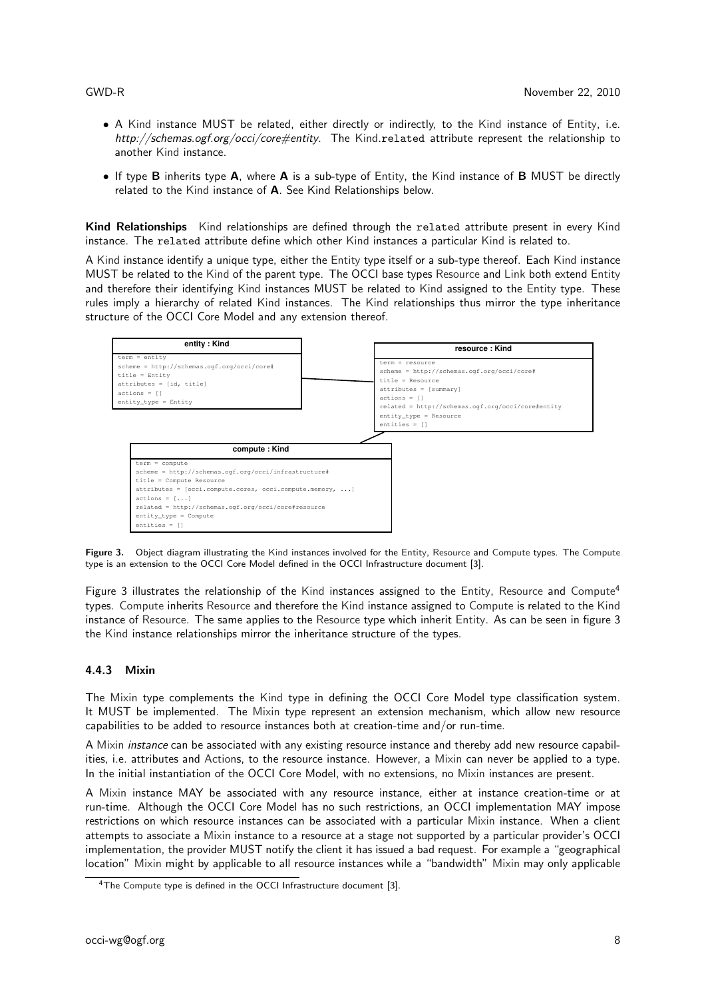- A Kind instance MUST be related, either directly or indirectly, to the Kind instance of Entity, i.e. http://schemas.ogf.org/occi/core#entity. The Kind.related attribute represent the relationship to another Kind instance.
- If type **B** inherits type **A**, where **A** is a sub-type of Entity, the Kind instance of **B** MUST be directly related to the Kind instance of A. See Kind Relationships below.

Kind Relationships Kind relationships are defined through the related attribute present in every Kind instance. The related attribute define which other Kind instances a particular Kind is related to.

A Kind instance identify a unique type, either the Entity type itself or a sub-type thereof. Each Kind instance MUST be related to the Kind of the parent type. The OCCI base types Resource and Link both extend Entity and therefore their identifying Kind instances MUST be related to Kind assigned to the Entity type. These rules imply a hierarchy of related Kind instances. The Kind relationships thus mirror the type inheritance structure of the OCCI Core Model and any extension thereof.



Figure 3. Object diagram illustrating the Kind instances involved for the Entity, Resource and Compute types. The Compute type is an extension to the OCCI Core Model defined in the OCCI Infrastructure document [3].

Figure 3 illustrates the relationship of the Kind instances assigned to the Entity, Resource and Compute<sup>4</sup> types. Compute inherits Resource and therefore the Kind instance assigned to Compute is related to the Kind instance of Resource. The same applies to the Resource type which inherit Entity. As can be seen in figure 3 the Kind instance relationships mirror the inheritance structure of the types.

#### 4.4.3 Mixin

The Mixin type complements the Kind type in defining the OCCI Core Model type classification system. It MUST be implemented. The Mixin type represent an extension mechanism, which allow new resource capabilities to be added to resource instances both at creation-time and/or run-time.

A Mixin instance can be associated with any existing resource instance and thereby add new resource capabilities, i.e. attributes and Actions, to the resource instance. However, a Mixin can never be applied to a type. In the initial instantiation of the OCCI Core Model, with no extensions, no Mixin instances are present.

A Mixin instance MAY be associated with any resource instance, either at instance creation-time or at run-time. Although the OCCI Core Model has no such restrictions, an OCCI implementation MAY impose restrictions on which resource instances can be associated with a particular Mixin instance. When a client attempts to associate a Mixin instance to a resource at a stage not supported by a particular provider's OCCI implementation, the provider MUST notify the client it has issued a bad request. For example a "geographical location" Mixin might by applicable to all resource instances while a "bandwidth" Mixin may only applicable

<sup>&</sup>lt;sup>4</sup>The Compute type is defined in the OCCI Infrastructure document [3].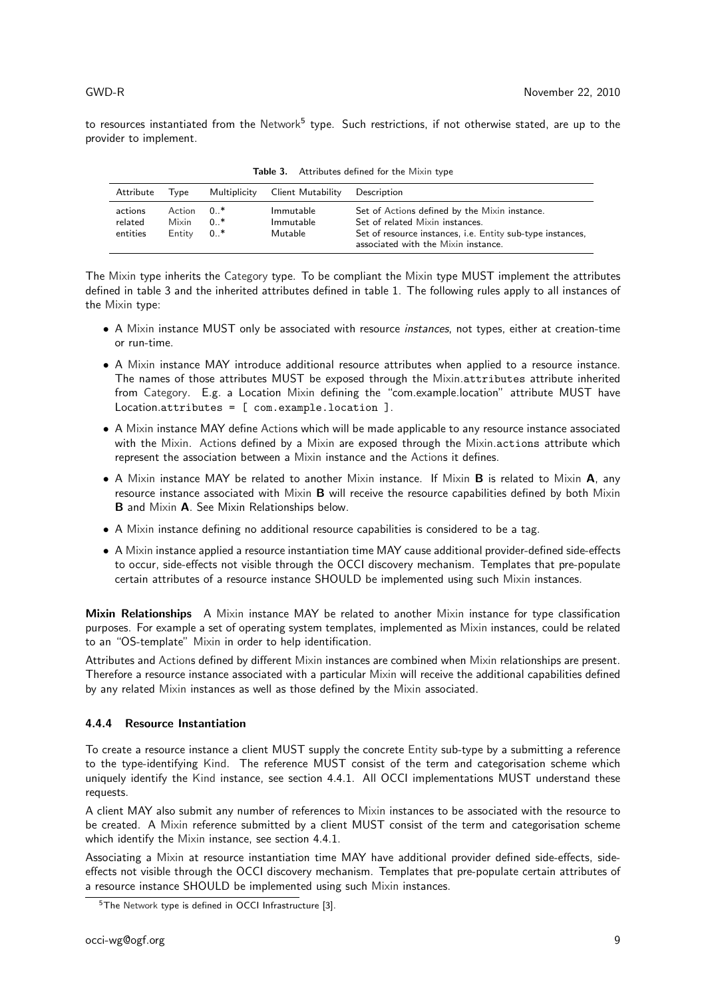to resources instantiated from the Network<sup>5</sup> type. Such restrictions, if not otherwise stated, are up to the provider to implement.

| Attribute                      | Tvpe                      | Multiplicity          | Client Mutability                 | Description                                                                                                                                                                           |
|--------------------------------|---------------------------|-----------------------|-----------------------------------|---------------------------------------------------------------------------------------------------------------------------------------------------------------------------------------|
| actions<br>related<br>entities | Action<br>Mixin<br>Entity | በ *<br>$0*$<br>$0.$ * | Immutable<br>Immutable<br>Mutable | Set of Actions defined by the Mixin instance.<br>Set of related Mixin instances.<br>Set of resource instances, i.e. Entity sub-type instances,<br>associated with the Mixin instance. |

Table 3. Attributes defined for the Mixin type

The Mixin type inherits the Category type. To be compliant the Mixin type MUST implement the attributes defined in table 3 and the inherited attributes defined in table 1. The following rules apply to all instances of the Mixin type:

- A Mixin instance MUST only be associated with resource instances, not types, either at creation-time or run-time.
- A Mixin instance MAY introduce additional resource attributes when applied to a resource instance. The names of those attributes MUST be exposed through the Mixin.attributes attribute inherited from Category. E.g. a Location Mixin defining the "com.example.location" attribute MUST have Location.attributes = [ com.example.location ].
- A Mixin instance MAY define Actions which will be made applicable to any resource instance associated with the Mixin. Actions defined by a Mixin are exposed through the Mixin.actions attribute which represent the association between a Mixin instance and the Actions it defines.
- A Mixin instance MAY be related to another Mixin instance. If Mixin **B** is related to Mixin **A**, any resource instance associated with Mixin B will receive the resource capabilities defined by both Mixin B and Mixin A. See Mixin Relationships below.
- A Mixin instance defining no additional resource capabilities is considered to be a tag.
- A Mixin instance applied a resource instantiation time MAY cause additional provider-defined side-effects to occur, side-effects not visible through the OCCI discovery mechanism. Templates that pre-populate certain attributes of a resource instance SHOULD be implemented using such Mixin instances.

Mixin Relationships A Mixin instance MAY be related to another Mixin instance for type classification purposes. For example a set of operating system templates, implemented as Mixin instances, could be related to an "OS-template" Mixin in order to help identification.

Attributes and Actions defined by different Mixin instances are combined when Mixin relationships are present. Therefore a resource instance associated with a particular Mixin will receive the additional capabilities defined by any related Mixin instances as well as those defined by the Mixin associated.

### 4.4.4 Resource Instantiation

To create a resource instance a client MUST supply the concrete Entity sub-type by a submitting a reference to the type-identifying Kind. The reference MUST consist of the term and categorisation scheme which uniquely identify the Kind instance, see section 4.4.1. All OCCI implementations MUST understand these requests.

A client MAY also submit any number of references to Mixin instances to be associated with the resource to be created. A Mixin reference submitted by a client MUST consist of the term and categorisation scheme which identify the Mixin instance, see section 4.4.1.

Associating a Mixin at resource instantiation time MAY have additional provider defined side-effects, sideeffects not visible through the OCCI discovery mechanism. Templates that pre-populate certain attributes of a resource instance SHOULD be implemented using such Mixin instances.

<sup>5</sup>The Network type is defined in OCCI Infrastructure [3].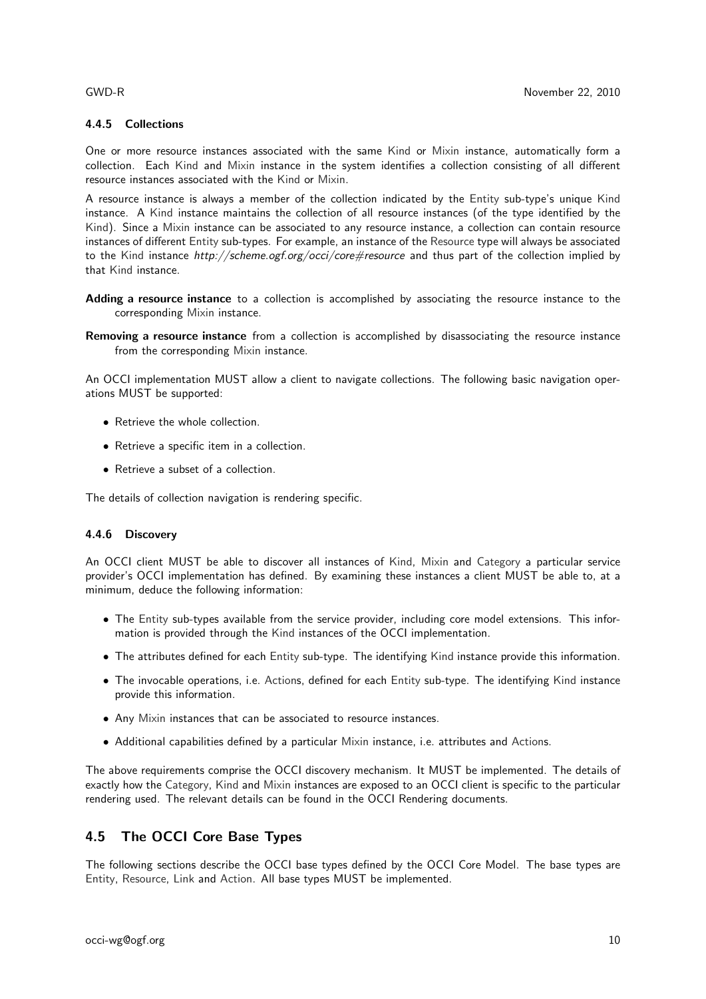#### 4.4.5 Collections

One or more resource instances associated with the same Kind or Mixin instance, automatically form a collection. Each Kind and Mixin instance in the system identifies a collection consisting of all different resource instances associated with the Kind or Mixin.

A resource instance is always a member of the collection indicated by the Entity sub-type's unique Kind instance. A Kind instance maintains the collection of all resource instances (of the type identified by the Kind). Since a Mixin instance can be associated to any resource instance, a collection can contain resource instances of different Entity sub-types. For example, an instance of the Resource type will always be associated to the Kind instance http://scheme.ogf.org/occi/core#resource and thus part of the collection implied by that Kind instance.

- Adding a resource instance to a collection is accomplished by associating the resource instance to the corresponding Mixin instance.
- Removing a resource instance from a collection is accomplished by disassociating the resource instance from the corresponding Mixin instance.

An OCCI implementation MUST allow a client to navigate collections. The following basic navigation operations MUST be supported:

- Retrieve the whole collection.
- Retrieve a specific item in a collection.
- Retrieve a subset of a collection.

The details of collection navigation is rendering specific.

### 4.4.6 Discovery

An OCCI client MUST be able to discover all instances of Kind, Mixin and Category a particular service provider's OCCI implementation has defined. By examining these instances a client MUST be able to, at a minimum, deduce the following information:

- The Entity sub-types available from the service provider, including core model extensions. This information is provided through the Kind instances of the OCCI implementation.
- The attributes defined for each Entity sub-type. The identifying Kind instance provide this information.
- The invocable operations, i.e. Actions, defined for each Entity sub-type. The identifying Kind instance provide this information.
- Any Mixin instances that can be associated to resource instances.
- Additional capabilities defined by a particular Mixin instance, i.e. attributes and Actions.

The above requirements comprise the OCCI discovery mechanism. It MUST be implemented. The details of exactly how the Category, Kind and Mixin instances are exposed to an OCCI client is specific to the particular rendering used. The relevant details can be found in the OCCI Rendering documents.

## 4.5 The OCCI Core Base Types

The following sections describe the OCCI base types defined by the OCCI Core Model. The base types are Entity, Resource, Link and Action. All base types MUST be implemented.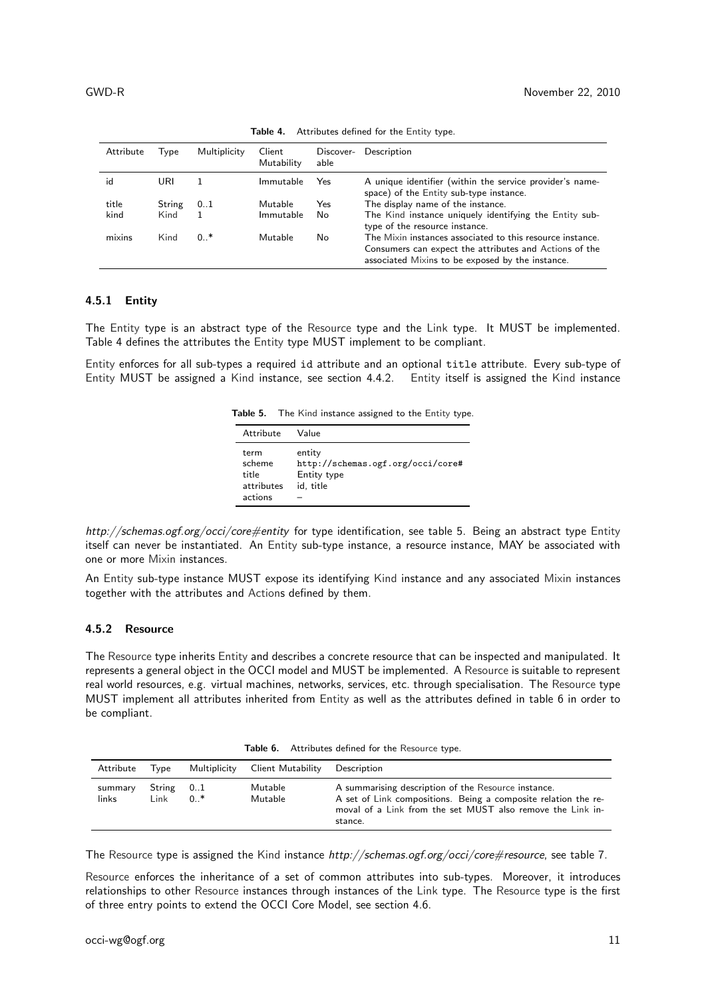| Attribute | Type   | Multiplicity | Client<br>Mutability | Discover-<br>able | Description                                                                                                                                                             |
|-----------|--------|--------------|----------------------|-------------------|-------------------------------------------------------------------------------------------------------------------------------------------------------------------------|
| id        | URL    | 1.           | Immutable            | Yes               | A unique identifier (within the service provider's name-<br>space) of the Entity sub-type instance.                                                                     |
| title     | String | 01           | Mutable              | Yes               | The display name of the instance.                                                                                                                                       |
| kind      | Kind   |              | Immutable            | No                | The Kind instance uniquely identifying the Entity sub-<br>type of the resource instance.                                                                                |
| mixins    | Kind   | $0.$ *       | Mutable              | No                | The Mixin instances associated to this resource instance.<br>Consumers can expect the attributes and Actions of the<br>associated Mixins to be exposed by the instance. |

Table 4. Attributes defined for the Entity type.

### 4.5.1 Entity

The Entity type is an abstract type of the Resource type and the Link type. It MUST be implemented. Table 4 defines the attributes the Entity type MUST implement to be compliant.

Entity enforces for all sub-types a required id attribute and an optional title attribute. Every sub-type of Entity MUST be assigned a Kind instance, see section 4.4.2. Entity itself is assigned the Kind instance

Table 5. The Kind instance assigned to the Entity type.

| Attribute                                        | Value                                                                   |
|--------------------------------------------------|-------------------------------------------------------------------------|
| term<br>scheme<br>title<br>attributes<br>actions | entity<br>http://schemas.ogf.org/occi/core#<br>Entity type<br>id, title |

http://schemas.ogf.org/occi/core#entity for type identification, see table 5. Being an abstract type Entity itself can never be instantiated. An Entity sub-type instance, a resource instance, MAY be associated with one or more Mixin instances.

An Entity sub-type instance MUST expose its identifying Kind instance and any associated Mixin instances together with the attributes and Actions defined by them.

#### 4.5.2 Resource

The Resource type inherits Entity and describes a concrete resource that can be inspected and manipulated. It represents a general object in the OCCI model and MUST be implemented. A Resource is suitable to represent real world resources, e.g. virtual machines, networks, services, etc. through specialisation. The Resource type MUST implement all attributes inherited from Entity as well as the attributes defined in table 6 in order to be compliant.

Table 6. Attributes defined for the Resource type.

| Attribute        | Tvpe                    |      | Multiplicity Client Mutability | Description                                                                                                                                                                                    |
|------------------|-------------------------|------|--------------------------------|------------------------------------------------------------------------------------------------------------------------------------------------------------------------------------------------|
| summary<br>links | $String \t 0.1$<br>Link | $0*$ | Mutable<br>Mutable             | A summarising description of the Resource instance.<br>A set of Link compositions. Being a composite relation the re-<br>moval of a Link from the set MUST also remove the Link in-<br>stance. |

The Resource type is assigned the Kind instance http://schemas.ogf.org/occi/core#resource, see table 7.

Resource enforces the inheritance of a set of common attributes into sub-types. Moreover, it introduces relationships to other Resource instances through instances of the Link type. The Resource type is the first of three entry points to extend the OCCI Core Model, see section 4.6.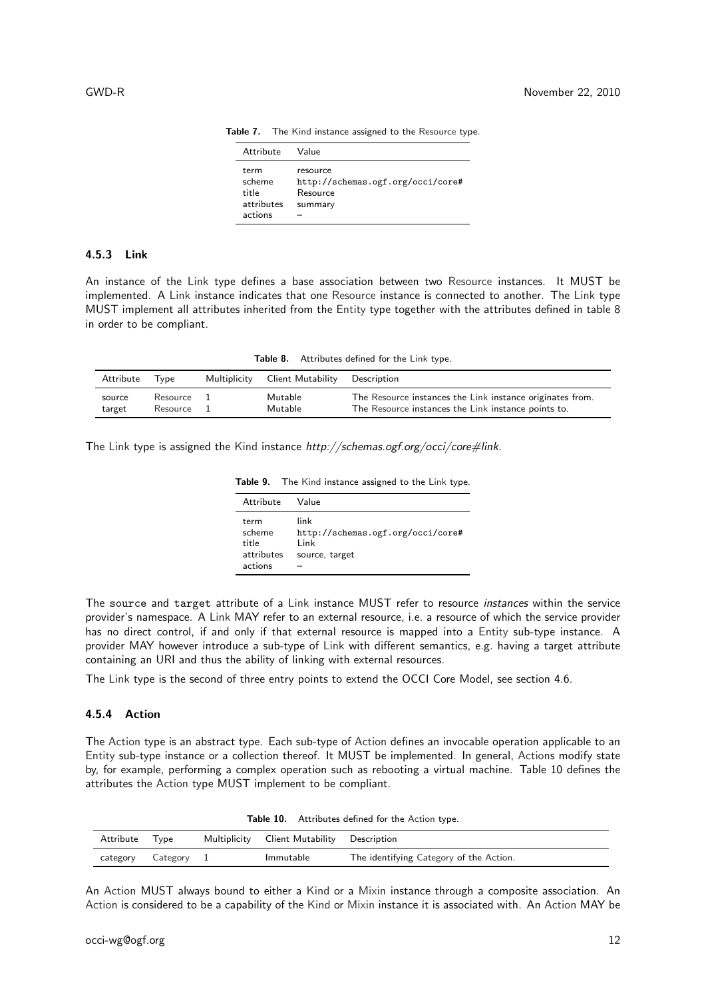| Attribute                                        | Value                                                                |
|--------------------------------------------------|----------------------------------------------------------------------|
| term<br>scheme<br>title<br>attributes<br>actions | resource<br>http://schemas.ogf.org/occi/core#<br>Resource<br>summary |

Table 7. The Kind instance assigned to the Resource type.

#### 4.5.3 Link

An instance of the Link type defines a base association between two Resource instances. It MUST be implemented. A Link instance indicates that one Resource instance is connected to another. The Link type MUST implement all attributes inherited from the Entity type together with the attributes defined in table 8 in order to be compliant.

Table 8. Attributes defined for the Link type.

| Attribute | Tvpe     | Multiplicity | Client Mutability | Description                                               |
|-----------|----------|--------------|-------------------|-----------------------------------------------------------|
| source    | Resource |              | Mutable           | The Resource instances the Link instance originates from. |
| target    | Resource |              | Mutable           | The Resource instances the Link instance points to.       |

The Link type is assigned the Kind instance http://schemas.ogf.org/occi/core#link.

Table 9. The Kind instance assigned to the Link type.

| Attribute                                        | Value                                                                |
|--------------------------------------------------|----------------------------------------------------------------------|
| term<br>scheme<br>title<br>attributes<br>actions | link<br>http://schemas.ogf.org/occi/core#<br>l ink<br>source, target |

The source and target attribute of a Link instance MUST refer to resource instances within the service provider's namespace. A Link MAY refer to an external resource, i.e. a resource of which the service provider has no direct control, if and only if that external resource is mapped into a Entity sub-type instance. A provider MAY however introduce a sub-type of Link with different semantics, e.g. having a target attribute containing an URI and thus the ability of linking with external resources.

The Link type is the second of three entry points to extend the OCCI Core Model, see section 4.6.

#### 4.5.4 Action

The Action type is an abstract type. Each sub-type of Action defines an invocable operation applicable to an Entity sub-type instance or a collection thereof. It MUST be implemented. In general, Actions modify state by, for example, performing a complex operation such as rebooting a virtual machine. Table 10 defines the attributes the Action type MUST implement to be compliant.

| Attribute | Tvpe     | Multiplicity Client Mutability Description |                                         |
|-----------|----------|--------------------------------------------|-----------------------------------------|
| category  | Category | Immutable                                  | The identifying Category of the Action. |

Table 10. Attributes defined for the Action type.

An Action MUST always bound to either a Kind or a Mixin instance through a composite association. An Action is considered to be a capability of the Kind or Mixin instance it is associated with. An Action MAY be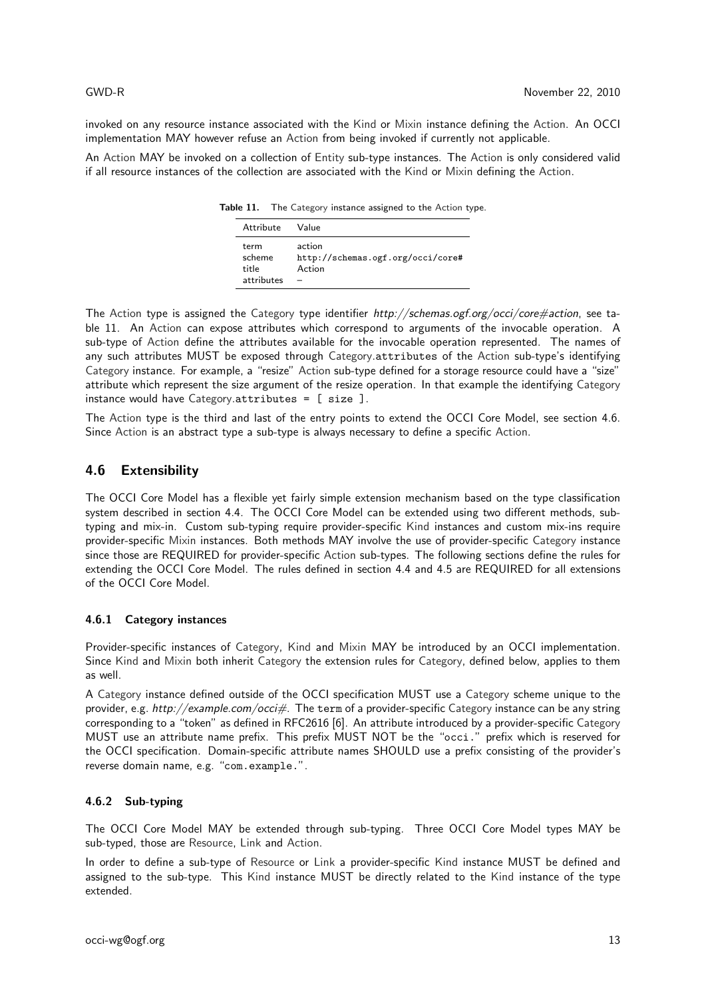invoked on any resource instance associated with the Kind or Mixin instance defining the Action. An OCCI implementation MAY however refuse an Action from being invoked if currently not applicable.

An Action MAY be invoked on a collection of Entity sub-type instances. The Action is only considered valid if all resource instances of the collection are associated with the Kind or Mixin defining the Action.

Table 11. The Category instance assigned to the Action type.

| Attribute                             | Value                                                 |
|---------------------------------------|-------------------------------------------------------|
| term<br>scheme<br>title<br>attributes | action<br>http://schemas.ogf.org/occi/core#<br>Action |

The Action type is assigned the Category type identifier http://schemas.ogf.org/occi/core#action, see table 11. An Action can expose attributes which correspond to arguments of the invocable operation. A sub-type of Action define the attributes available for the invocable operation represented. The names of any such attributes MUST be exposed through Category.attributes of the Action sub-type's identifying Category instance. For example, a "resize" Action sub-type defined for a storage resource could have a "size" attribute which represent the size argument of the resize operation. In that example the identifying Category instance would have Category.attributes = [ size ].

The Action type is the third and last of the entry points to extend the OCCI Core Model, see section 4.6. Since Action is an abstract type a sub-type is always necessary to define a specific Action.

## 4.6 Extensibility

The OCCI Core Model has a flexible yet fairly simple extension mechanism based on the type classification system described in section 4.4. The OCCI Core Model can be extended using two different methods, subtyping and mix-in. Custom sub-typing require provider-specific Kind instances and custom mix-ins require provider-specific Mixin instances. Both methods MAY involve the use of provider-specific Category instance since those are REQUIRED for provider-specific Action sub-types. The following sections define the rules for extending the OCCI Core Model. The rules defined in section 4.4 and 4.5 are REQUIRED for all extensions of the OCCI Core Model.

### 4.6.1 Category instances

Provider-specific instances of Category, Kind and Mixin MAY be introduced by an OCCI implementation. Since Kind and Mixin both inherit Category the extension rules for Category, defined below, applies to them as well.

A Category instance defined outside of the OCCI specification MUST use a Category scheme unique to the provider, e.g. http://example.com/occi#. The term of a provider-specific Category instance can be any string corresponding to a "token" as defined in RFC2616 [6]. An attribute introduced by a provider-specific Category MUST use an attribute name prefix. This prefix MUST NOT be the "occi." prefix which is reserved for the OCCI specification. Domain-specific attribute names SHOULD use a prefix consisting of the provider's reverse domain name, e.g. "com.example.".

### 4.6.2 Sub-typing

The OCCI Core Model MAY be extended through sub-typing. Three OCCI Core Model types MAY be sub-typed, those are Resource, Link and Action.

In order to define a sub-type of Resource or Link a provider-specific Kind instance MUST be defined and assigned to the sub-type. This Kind instance MUST be directly related to the Kind instance of the type extended.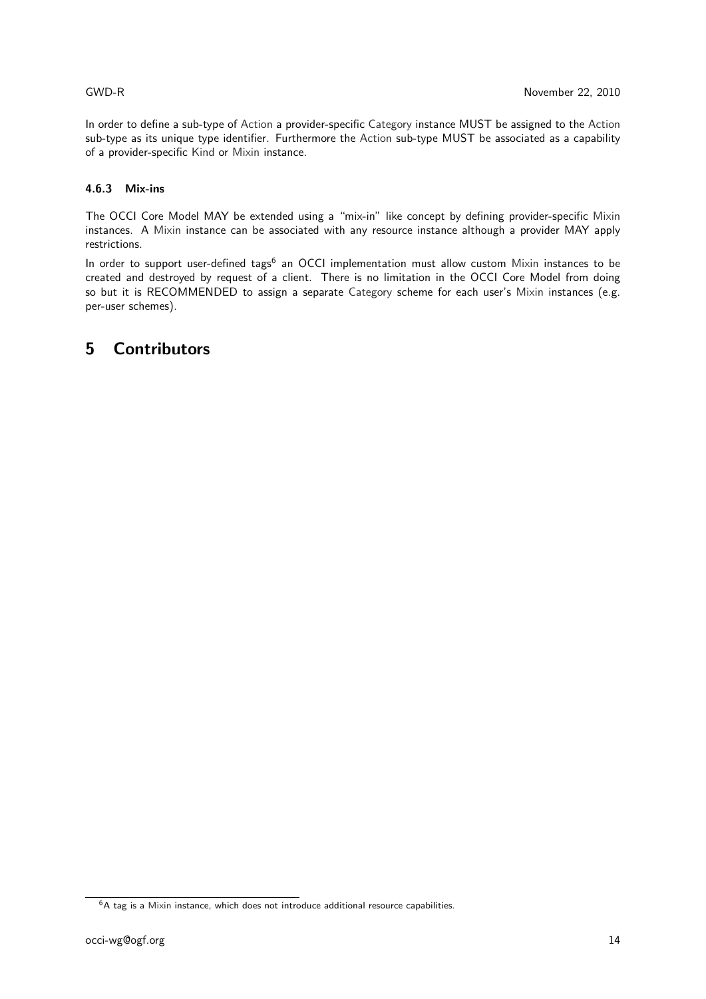In order to define a sub-type of Action a provider-specific Category instance MUST be assigned to the Action sub-type as its unique type identifier. Furthermore the Action sub-type MUST be associated as a capability of a provider-specific Kind or Mixin instance.

### 4.6.3 Mix-ins

The OCCI Core Model MAY be extended using a "mix-in" like concept by defining provider-specific Mixin instances. A Mixin instance can be associated with any resource instance although a provider MAY apply restrictions.

In order to support user-defined tags<sup>6</sup> an OCCI implementation must allow custom Mixin instances to be created and destroyed by request of a client. There is no limitation in the OCCI Core Model from doing so but it is RECOMMENDED to assign a separate Category scheme for each user's Mixin instances (e.g. per-user schemes).

## 5 Contributors

 $6A$  tag is a Mixin instance, which does not introduce additional resource capabilities.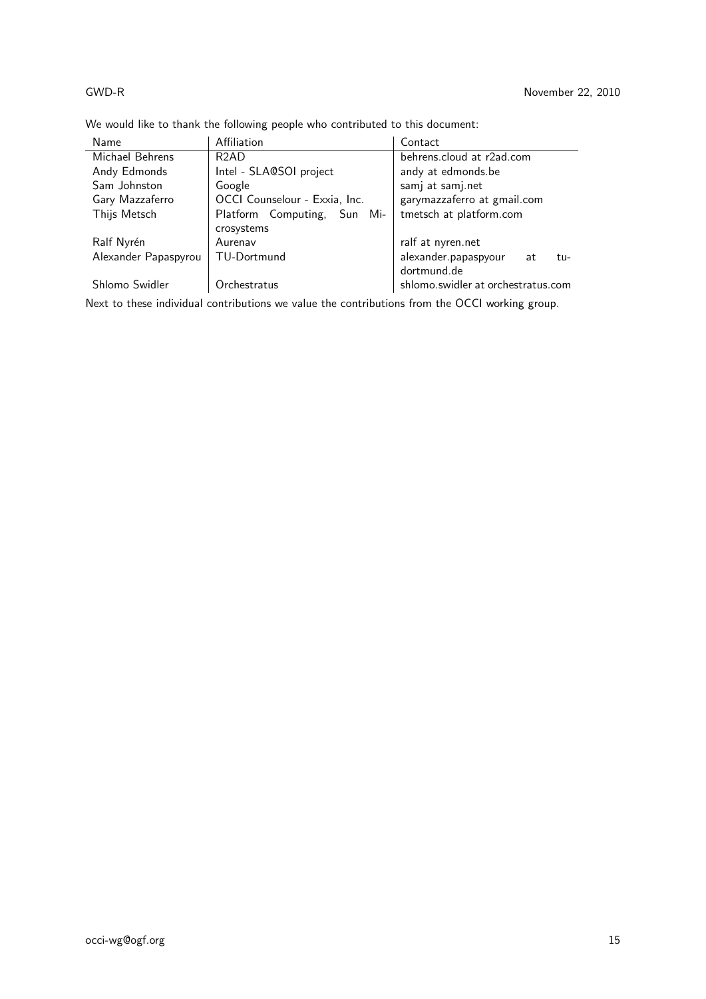## GWD-R November 22, 2010

| Name                 | Affiliation                   | Contact                            |
|----------------------|-------------------------------|------------------------------------|
| Michael Behrens      | R <sub>2</sub> AD             | behrens.cloud at r2ad.com          |
| Andy Edmonds         | Intel - SLA@SOI project       | andy at edmonds.be                 |
| Sam Johnston         | Google                        | samj at samj.net                   |
| Gary Mazzaferro      | OCCI Counselour - Exxia, Inc. | garymazzaferro at gmail.com        |
| Thijs Metsch         | Platform Computing, Sun Mi-   | tmetsch at platform.com            |
|                      | crosystems                    |                                    |
| Ralf Nyrén           | Aurenav                       | ralf at nyren.net                  |
| Alexander Papaspyrou | TU-Dortmund                   | alexander.papaspyour<br>at<br>tu-  |
|                      |                               | dortmund.de                        |
| Shlomo Swidler       | Orchestratus                  | shlomo.swidler at orchestratus.com |

We would like to thank the following people who contributed to this document:

Next to these individual contributions we value the contributions from the OCCI working group.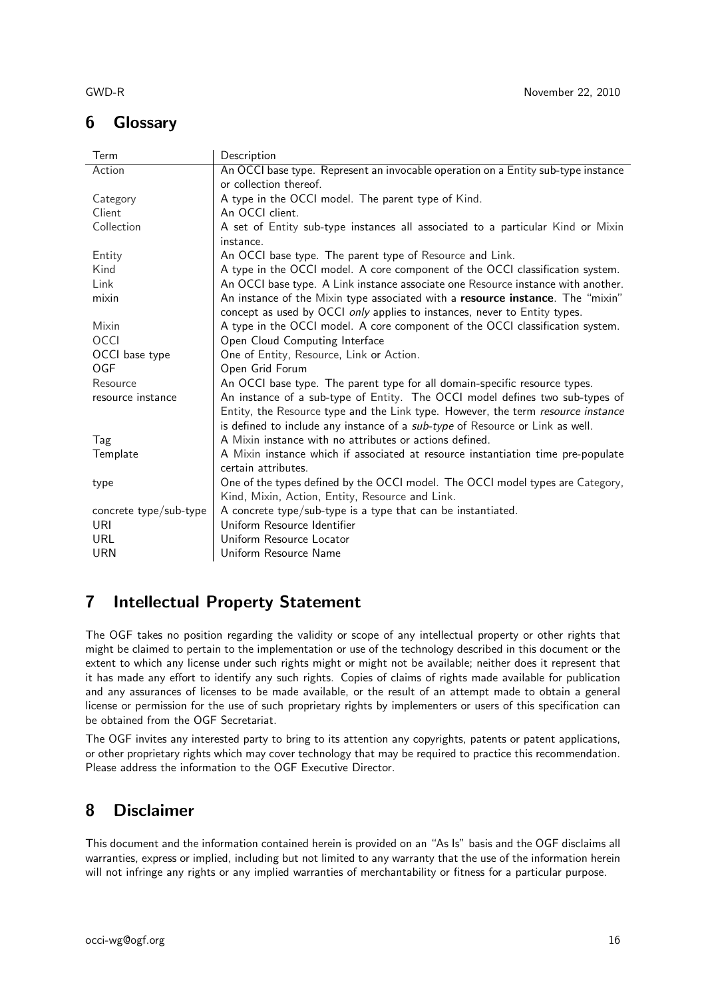# 6 Glossary

| Term                   | Description                                                                       |  |
|------------------------|-----------------------------------------------------------------------------------|--|
| Action                 | An OCCI base type. Represent an invocable operation on a Entity sub-type instance |  |
|                        | or collection thereof.                                                            |  |
| Category               | A type in the OCCI model. The parent type of Kind.                                |  |
| Client                 | An OCCI client.                                                                   |  |
| Collection             | A set of Entity sub-type instances all associated to a particular Kind or Mixin   |  |
|                        | instance.                                                                         |  |
| Entity                 | An OCCI base type. The parent type of Resource and Link.                          |  |
| Kind                   | A type in the OCCI model. A core component of the OCCI classification system.     |  |
| Link                   | An OCCI base type. A Link instance associate one Resource instance with another.  |  |
| mixin                  | An instance of the Mixin type associated with a resource instance. The "mixin"    |  |
|                        | concept as used by OCCI only applies to instances, never to Entity types.         |  |
| Mixin                  | A type in the OCCI model. A core component of the OCCI classification system.     |  |
| <b>OCCI</b>            | Open Cloud Computing Interface                                                    |  |
| OCCI base type         | One of Entity, Resource, Link or Action.                                          |  |
| OGF                    | Open Grid Forum                                                                   |  |
| Resource               | An OCCI base type. The parent type for all domain-specific resource types.        |  |
| resource instance      | An instance of a sub-type of Entity. The OCCI model defines two sub-types of      |  |
|                        | Entity, the Resource type and the Link type. However, the term resource instance  |  |
|                        | is defined to include any instance of a sub-type of Resource or Link as well.     |  |
| Tag                    | A Mixin instance with no attributes or actions defined.                           |  |
| Template               | A Mixin instance which if associated at resource instantiation time pre-populate  |  |
|                        | certain attributes.                                                               |  |
| type                   | One of the types defined by the OCCI model. The OCCI model types are Category,    |  |
|                        | Kind, Mixin, Action, Entity, Resource and Link.                                   |  |
| concrete type/sub-type | A concrete type/sub-type is a type that can be instantiated.                      |  |
| URI                    | Uniform Resource Identifier                                                       |  |
| URL                    | Uniform Resource Locator                                                          |  |
| URN                    | Uniform Resource Name                                                             |  |

# 7 Intellectual Property Statement

The OGF takes no position regarding the validity or scope of any intellectual property or other rights that might be claimed to pertain to the implementation or use of the technology described in this document or the extent to which any license under such rights might or might not be available; neither does it represent that it has made any effort to identify any such rights. Copies of claims of rights made available for publication and any assurances of licenses to be made available, or the result of an attempt made to obtain a general license or permission for the use of such proprietary rights by implementers or users of this specification can be obtained from the OGF Secretariat.

The OGF invites any interested party to bring to its attention any copyrights, patents or patent applications, or other proprietary rights which may cover technology that may be required to practice this recommendation. Please address the information to the OGF Executive Director.

## 8 Disclaimer

This document and the information contained herein is provided on an "As Is" basis and the OGF disclaims all warranties, express or implied, including but not limited to any warranty that the use of the information herein will not infringe any rights or any implied warranties of merchantability or fitness for a particular purpose.